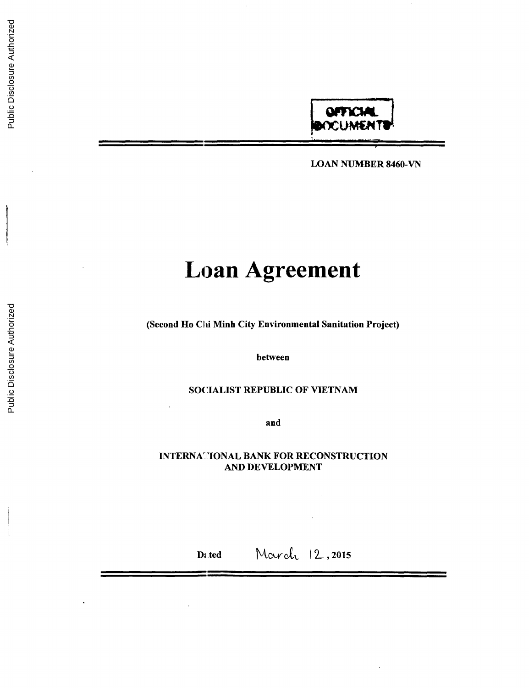

**LOAN NUMBER 8460-VN**

# **Loan Agreement**

(Second Ho Chi Minh City Environmental Sanitation Project)

between

# **SOCIALIST** REPUBLIC OF **VIETNAM**

and

# **INTERNATIONAL** BANK FOR **RECONSTRUCTION AND DEVELOPMENT**

Dated March 12, 2015

Public Disclosure Authorized

Public Disclosure Authorized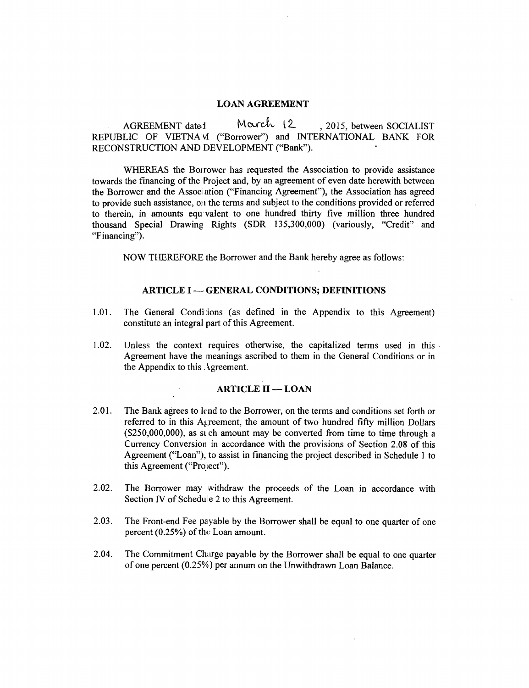#### **LOAN AGREEMENT**

AGREEMENT dated Morch 12, 2015, between SOCIALIST<br>
REPUBLIC OF VIETNAM ("Borrower") and INTERNATIONAL BANK FOR<br>
RECONSTRUCTION AND DEVELOPMENT ("Bank").

WHEREAS the Borrower has requested the Association to provide assistance<br>towards the financing of the Project and, by an agreement of even date herewith between<br>the Borrower and the Association ("Financing Agreement"), the thousand Special Drawing Rights (SDR 135,300,000) (variously, "Credit" and "Financing").

NOW THEREFORE the Borrower and the Bank hereby agree as follows:

# **ARTICLE I - GENERAL CONDITIONS; DEFINITIONS**

- 1.01. The General Conditions (as defined in the Appendix to this Agreement) constitute an integral part of this Agreement.
- 1.02. Unless the context requires otherwise, the capitalized terms used in this Agreement have the meanings ascribed to them in the General Conditions or in the Appendix to this Agreement.

# **ARTICLE II - LOAN**

- 2.01. The Bank agrees to lend to the Borrower, on the terms and conditions set forth or referred to in this A<sub>k</sub>, reement, the amount of two hundred fifty million Dollars (\$250,000,000), as such amount may be converted fr
- 2.02. The Borrower may withdraw the proceeds of the Loan in accordance with Section IV of Schedule 2 to this Agreement.
- **2.03.** The Front-end Fee pa yable **by** the Borrower shall be equal to one quarter of one percent **(0.25%)** of thu Loan amount.
- 2.04. The Commitment Charge payable **by** the Borrower shall be equal to one quarter of one percent **(0.25%)** per annum on the Unwithdrawn Loan Balance.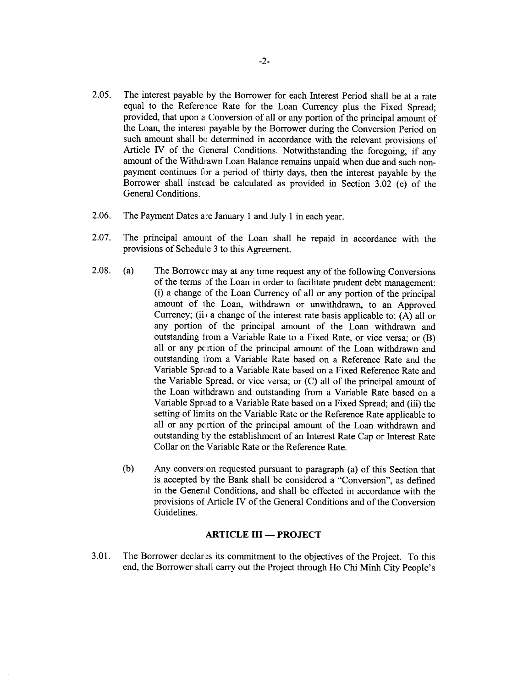- **2.05.** The interest payable **by** the Borrower for each Interest Period shall be at a rate equal to the Reference Rate for the Loan Currency plus the Fixed Spread; provided, that upon a Conversion of all or any portion of the principal amount of the Loan, the interesi payable **by** the Borrower during the Conversion Period on such amount shall be determined in accordance with the relevant provisions of Article IV of the General Conditions. Notwithstanding the foregoing, if any amount of the Withdrawn Loan Balance remains unpaid when due and such nonpayment continues for a period of thirty days, then the interest payable **by** the Borrower shall instead be calculated as provided in Section **3.02** (e) of the General Conditions.
- 2.06. The Payment Dates are January 1 and July 1 in each year.
- **2.07.** The principal amount of the Loan shall be repaid in accordance with the provisions of Schedule **3** to this Agreement.
- **2.08.** (a) The Borrower may at any time request any of the following Conversions of the terms **of** the Loan in order to facilitate prudent debt management: (i) a change of the Loan Currency of all or any portion of the principal amount of 1he Loan, withdrawn or unwithdrawn, to an Approved Currency; (ii) a change of the interest rate basis applicable to:  $(A)$  all or any portion of the principal amount of the Loan withdrawn and outstanding from a Variable Rate to a Fixed Rate, or vice versa; or (B) all or any pcrtion of the principal amount of the Loan withdrawn and outstanding from a Variable Rate based on a Reference Rate and the Variable Spread to a Variable Rate based on a Fixed Reference Rate and the Variable Spread, or vice versa; or **(C)** all of the principal amount of the Loan wilhdrawn and outstanding from a Variable Rate based on a Variable Sprcad to a Variable Rate based on a Fixed Spread; and (iii) the setting of limits on the Variable Rate or the Reference Rate applicable to all or any pcrtion of the principal amount of the Loan withdrawn and outstanding by the establishment of an Interest Rate Cap or Interest Rate Collar on the Variable Rate or the Reference Rate.
	- **(b)** Any convers: on requested pursuant to paragraph (a) of this Section that is accepted **by** the Bank shall be considered a "Conversion", as defined in the Genenil Conditions, and shall be effected in accordance with the provisions of Article IV of the General Conditions and of the Conversion Guidelines.

# **ARTICLE III - PROJECT**

**3.01.** The Borrower declar.s its commitment to the objectives of the Project. To this end, the Borrower sh **ll** carry out the Project through Ho Chi Minh City People's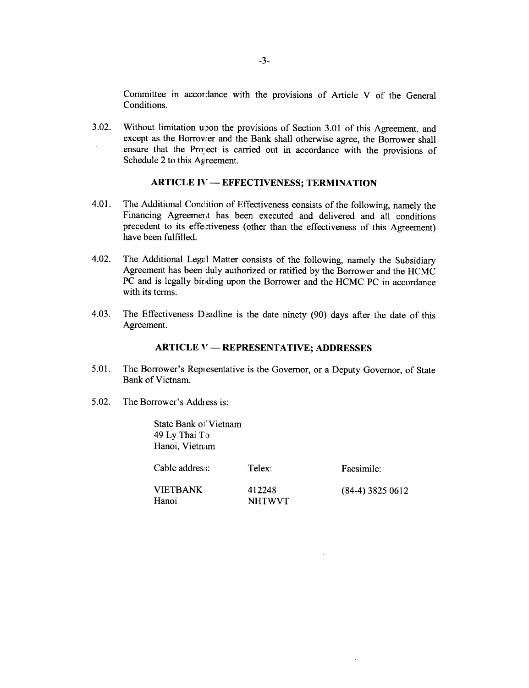Committee in accor dance with the provisions of Article V of the General Conditions.

**3.02.** Without limitation upon the provisions of Section 3.01 of this Agreement, and except as the Borrower and the Bank shall otherwise agree, the Borrower shall ensure that the Project is carried out in accordance with the provisions of Schedule 2 to this Agreement.

#### **ARTICLE IV - EFFECTIVENESS; TERMINATION**

- 4.01. The Additional Condition of Effectiveness consists of the following, namely the Financing Agreement has been executed and delivered and all conditions precedent to its effectiveness (other than the effectiveness of this Agreement) have been fulfilled.
- 4.02. The Additional Legal Matter consists of the following, namely the Subsidiary Agreement has been duly authorized or ratified **by** the Borrower and the **HCMC PC** and is legally binding upon the Borrower and the **HCMC PC** in accordance with its terms.
- 4.03. The Effectiveness Deadline is the date ninety (90) days after the date of this Agreement.

#### **ARTICLE V - REPRESENTATIVE; ADDRESSES**

- 5.01. The Borrower's Repi esentative is the Governor, or a Deputy Governor, of State Bank of Vietnam.
- **5.02.** The Borrower's Address is:

State Bank of Vietnam 49 **Ly** Thai To Hanoi, Vietnam

Cable addres: Telex: Facsimile: VIETBANK 412248 (84-4) **3825 0612** Hanoi NHTWVT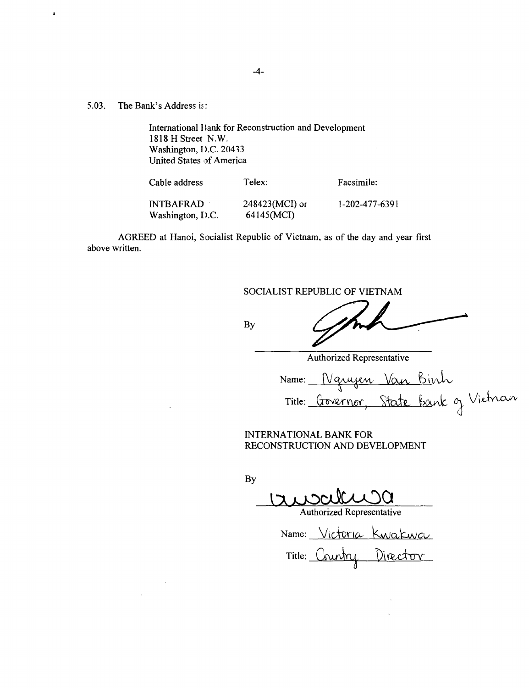**5.03.** The Bank's Address is:

 $\sim$ 

 $\pmb{\mathfrak{s}}$ 

International **I** lank for Reconstruction and Development **1818** H Street N.W. Washington, **D.C.** 20433 United States of America

| Cable address    | Telex:           | Facsimile:     |
|------------------|------------------|----------------|
| INTBAFRAD        | $248423(MCI)$ or | 1-202-477-6391 |
| Washington, I.C. | 64145(MCI)       |                |

AGREED at Hanoi, Socialist Republic of Vietnam, as of the day and year first above written.

**SOCIALIST** REPUBLIC OF **VIETNAM**

**By**

Authorized Representative Name: Title: Governor, State

**INTERNATIONAL** BANK FOR **RECONSTRUCTION AND DEVELOPMENT**

**By**

Authorized Representative

Name: Victoria Kwakwa Title: Country Director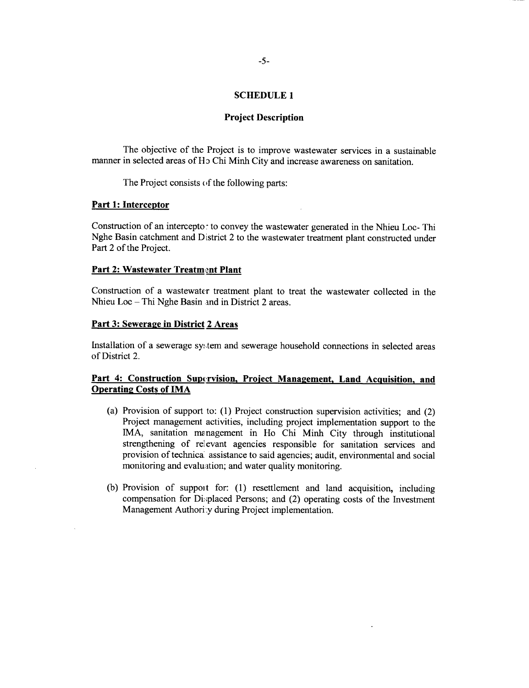# **SCHEDULE 1**

#### **Project Description**

The objective of the Project is to improve wastewater services in a sustainable manner in selected areas of H<sub>2</sub> Chi Minh City and increase awareness on sanitation.

The Project consists of the following parts:

# **Part 1: Interceptor**

Construction of an intercepto. to convey the wastewater generated in the Nhieu Loc- Thi Nghe Basin catchment and District 2 to the wastewater treatment plant constructed under Part 2 of the Project.

#### **Part** 2: **Wastewater Treatment Plant**

Construction of a wastewater treatment plant to treat the wastewater collected in the Nhieu Loc **-** Thi Nghe Basin and in District 2 areas.

#### **Part 3: Sewerage in District** 2 Areas

Installation of a sewerage sytem and sewerage household connections in selected areas of District 2.

# **Part 4: Construction Supervision, Project Management, Land Acquisition, and Operating Costs of IMA**

- (a) Provision of support to: **(1)** Project construction supervision activities; and (2) Project management activities, including project implementation support to the IMA, sanitation me nagement in Ho Chi Minh City through institutional strengthening of relevant agencies responsible for sanitation services and provision of technica' assistance to said agencies; audit, environmental and social monitoring and evaluation; and water quality monitoring.
- **(b)** Provision of suppoit for: **(1)** resettlement and land acquisition, including compensation for Di:splaced Persons; and (2) operating costs of the Investment Management Authori:y during Project implementation.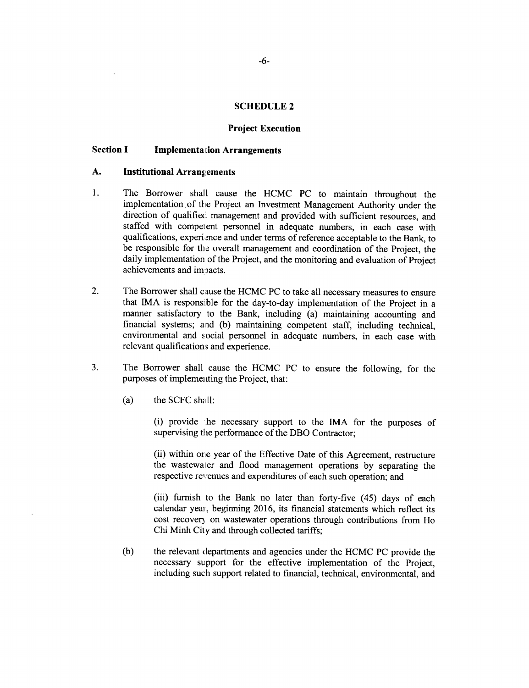# **SCHEDULE 2**

#### **Project Execution**

#### **Section I Implemental:ion Arrangements**

#### A. Institutional Arrangements

- 1. The Borrower shall cause the **HCMC PC** to maintain throughout the implementation. of the Project an Investment Management Authority under the direction of qualified management and provided with sufficient resources, and staffed with compelent personnel in adequate numbers, in each case with qualifications, experience and under terms of reference acceptable to the Bank, to be responsible for the overall management and coordination of the Project, the daily implementation of the Project, and the monitoring and evaluation of Project achievements and impacts.
- 2. The Borrower shall cause the **HCMC PC** to take all necessary measures to ensure that IMA is responsible for the day-to-day implementation of the Project in a manner satisfactory to the Bank, including (a) maintaining accounting and financial systems; and (b) maintaining competent staff, including technical, environmental and social personnel in adequate numbers, in each case with relevant qualifications and experience.
- **3.** The Borrower shall cause the **HCMC PC** to ensure the following, for the purposes of implementing the Project, that:
	- (a) the **SCFC** shall:

(i) provide he necessary support to the **IMA** for the purposes of supervising the performance of the DBO Contractor;

(ii) within ore year of the Effective Date of this Agreement, restructure the wastewaler and flood management operations **by** separating the respective revenues and expenditures of each such operation; and

(iii) furnish to the Bank no later than forty-five (45) days of each calendar yeai, beginning **2016,** its financial statements which reflect its cost recovery on wastewater operations through contributions from Ho Chi Minh City and through collected tariffs;

**(b)** the relevant departments and agencies under the **HCMC PC** provide the necessary support for the effective implementation of the Project, including such support related to financial, technical, environmental, and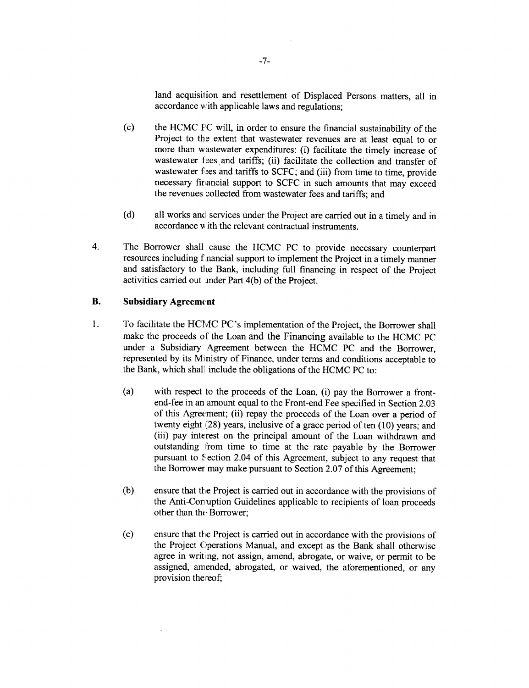land acquisition and resettlement of Displaced Persons matters, all in accordance with applicable laws and regulations;

- **(c)** the **HCMC PC** will, in order to ensure the financial sustainability of the Project to the extent that wastewater revenues are at least equal to or more than wastewater expenditures: (i) facilitate the timely increase of wastewater fees and tariffs; (ii) facilitate the collection and transfer of wastewater files and tariffs to SCFC; and (iii) from time to time, provide necessary firancial support to **SCFC** in such amounts that may exceed the revenues zollected from wastewater fees and tariffs; and
- (d) all works and services under the Project are carried out in a timely and in accordance **v** ith the relevant contractual instruments.
- 4. The Borrower shall cause the **HCMC PC** to provide necessary counterpart resources including **f** nancial support to implement the Project in a timely manner and satisfactory to the Bank, including full financing in respect of the Project activities carried out inder Part 4(b) of the Project.

# **B.** Subsidiary Agreement

- 1 **.** To facilitate the *HCMC* PC's implementation of the Project, the Borrower shall make the proceeds of the Loan and the Financing available to the **HCMC PC** under a Subsidiary Agreement between the **HCMC PC** and the Borrower, represented **by** its Ministry of Finance, under terms and conditions acceptable to the Bank, which shall include the obligations of the **HCMC PC** to:
	- (a) with respect to the proceeds of the Loan, (i) pay the Borrower a frontend-fee in an amount equal to the Front-end Fee specified in Section **2.03** of this Agreement; (ii) repay the proceeds of the Loan over a period of twenty eight (28) years, inclusive of a grace period of ten **(10)** years; and (iii) pay interest on the principal amount of the Loan withdrawn and outstanding 1rom time to time at the rate payable **by** the Borrower pursuant to Section 2.04 of this Agreement, subject to any request that the Borrower may make pursuant to Section **2.07** of this Agreement;
	- **(b)** ensure that the Project is carried out in accordance with the provisions of the Anti-Con uption Guidelines applicable to recipients of loan proceeds other than the Borrower;
	- **(c)** ensure that the Project is carried out in accordance with the provisions of the Project Operations Manual, and except as the Bank shall otherwise agree in writing, not assign, amend, abrogate, or waive, or permit to be assigned, amended, abrogated, or waived, the aforementioned, or any provision thereof;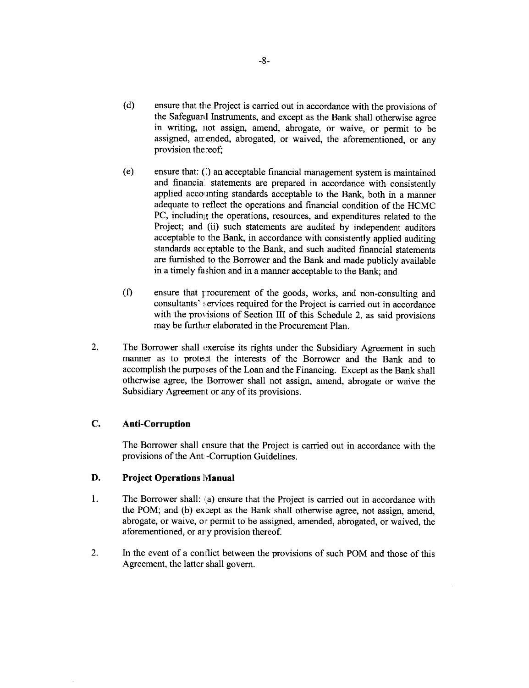- **(d)** ensure that tlhe Project is carried out in accordance with the provisions of the Safeguard Instruments, and except as the Bank shall otherwise agree in writing, not assign, amend, abrogate, or waive, or permit to be assigned, amended, abrogated, or waived, the aforementioned, or any provision the reof;
- (e) ensure that: **()** an acceptable financial management system is maintained and financia' statements are prepared in accordance with consistently applied accounting standards acceptable to the Bank, both in a manner adequate to reflect the operations and financial condition of the HCMC PC, including the operations, resources, and expenditures related to the Project; and (ii) such statements are audited **by** independent auditors acceptable to the Bank, in accordance with consistently applied auditing standards acceptable to the Bank, and such audited financial statements are furnished to the Borrower and the Bank and made publicly available in a timely fashion and in a manner acceptable to the Bank; and
- **(f)** ensure that 1rocurement of the goods, works, and non-consulting and consultants' !ervices required for the Project is carried out in accordance with the provisions of Section **III** of this Schedule 2, as said provisions may be further elaborated in the Procurement Plan.
- 2. The Borrower shall exercise its rights under the Subsidiary Agreement in such manner as to prote,t the interests of the Borrower and the Bank and to accomplish the purpo 3es of the Loan and the Financing. Except as the Bank shall otherwise agree, the Borrower shall not assign, amend, abrogate or waive the Subsidiary Agreement or any of its provisions.

# **C. Anti-Corruption**

The Borrower shall ensure that the Project is carried out in accordance with the provisions of the Ant: -Corruption Guidelines.

# **D. Project Operations Manual**

- 1. The Borrower shall: (a) ensure that the Project is carried out in accordance with the POM; and (b) expept as the Bank shall otherwise agree, not assign, amend, abrogate, or waive, or permit to be assigned, amended, abrogated, or waived, the aforementioned, or ar **y** provision thereof.
- 2. In the event of a conilict between the provisions of such POM and those of this Agreement, the latter shall govern.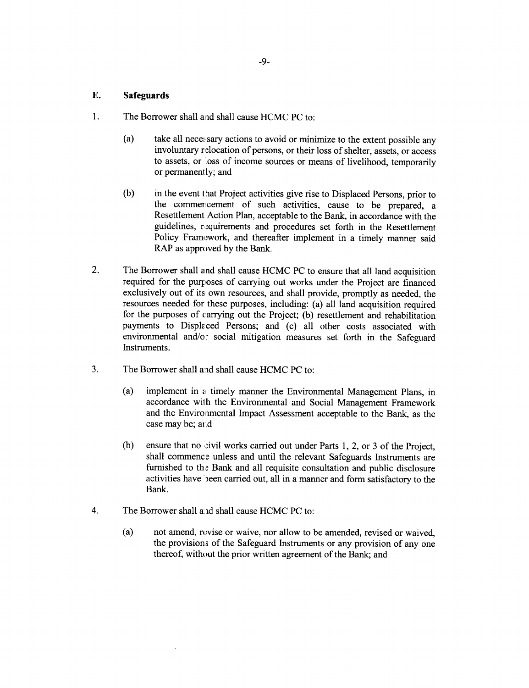# **E. Safeguards**

- 1. The Borrower shall aid shall cause **HCMC PC** to:
	- (a) take all necessary actions to avoid or minimize to the extent possible any involuntary relocation of persons, or their loss of shelter, assets, or access to assets, or oss of income sources or means of livelihood, temporarily or permanent **ly;** and
	- (b) in the event that Project activities give rise to Displaced Persons, prior to the commer cement of such activities, cause to be prepared, a Resettlement Action Plan, acceptable to the Bank, in accordance with the guidelines, requirements and procedures set forth in the Resettlement Policy Framework, and thereafter implement in a timely manner said RAP as approved **by** the Bank.
- 2. The Borrower shall and shall cause HCMC PC to ensure that all land acquisition required for the purposes of carrying out works under the Project are financed exclusively out of its own resources, and shall provide, promptly as needed, the resources needed for these purposes, including: (a) all land acquisition required for the purposes of carrying out the Project; **(b)** resettlement and rehabilitation payments to Disple ced Persons; and (c) all other costs associated with environmental and/o: social mitigation measures set forth in the Safeguard Instruments.
- **3.** The Borrower shall and shall cause **HCMC PC** to:
	- (a) implement in ai timely manner the Environmental Management Plans, in accordance with the Environmental and Social Management Framework and the Environental Impact Assessment acceptable to the Bank, as the case may be; and
	- **(b)** ensure that no civil works carried out under Parts 1, 2, or 3 of the Project, shall commence unless and until the relevant Safeguards Instruments are furnished to the Bank and all requisite consultation and public disclosure activities have been carried out, all in a manner and form satisfactory to the Bank.
- 4. The Borrower shall a: id shall cause **HCMC PC** to:
	- (a) not amend, revise or waive, nor allow to be amended, revised or waived, the provision; of the Safeguard Instruments or any provision of any one thereof, without the prior written agreement of the Bank; and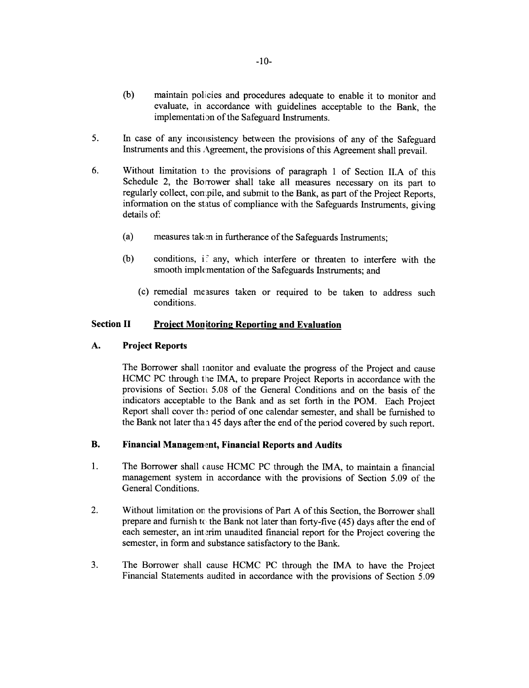- **(b)** maintain policies and procedures adequate to enable it to monitor and evaluate, in accordance with guidelines acceptable to the Bank, the implementation of the Safeguard Instruments.
- 5. In case of any inconsistency between the provisions of any of the Safeguard Instruments and this Agreement, the provisions of this Agreement shall prevail.
- **6.** Without limitation to the provisions of paragraph 1 of Section **II.A** of this Schedule 2, the Borrower shall take all measures necessary on its part to regularly collect, compile, and submit to the Bank, as part of the Project Reports, information on the status of compliance with the Safeguards Instruments, giving details of:
	- (a) measures take in furtherance of the Safeguards Instruments;
	- (b) conditions, if any, which interfere or threaten to interfere with the smooth implementation of the Safeguards Instruments; and
		- (c) remedial me asures taken or required to be taken to address such conditions.

# **Section II Project Monitoring Reporting and Evaluation**

# **A. Project Reports**

The Borrower shall monitor and evaluate the progress of the Project and cause HCMC PC through the IMA, to prepare Project Reports in accordance with the provisions of Section 5.08 of the General Conditions and on the basis of the indicators acceptable to the Bank and as set forth in the POM. Each Project Report shall cover the period of one calendar semester, and shall be furnished to the Bank not later tha a *45* days after the end of the period covered **by** such report.

# B. **Financial Managemint, Financial Reports and Audits**

- 1 **.** The Borrower shall cause **HCMC PC** through the **IMA,** to maintain a financial management system in accordance with the provisions of Section *5.09* of the General Conditions.
- 2. Without limitation on the provisions of Part **A** of this Section, the Borrower shall prepare and furnish tc the Bank not later than forty-five *(45)* days after the end of each semester, an interim unaudited financial report for the Project covering the semester, in form and substance satisfactory to the Bank.
- **3.** The Borrower shall cause **HCMC PC** through the IMA to have the Project Financial Statements audited in accordance with the provisions of Section **5.09**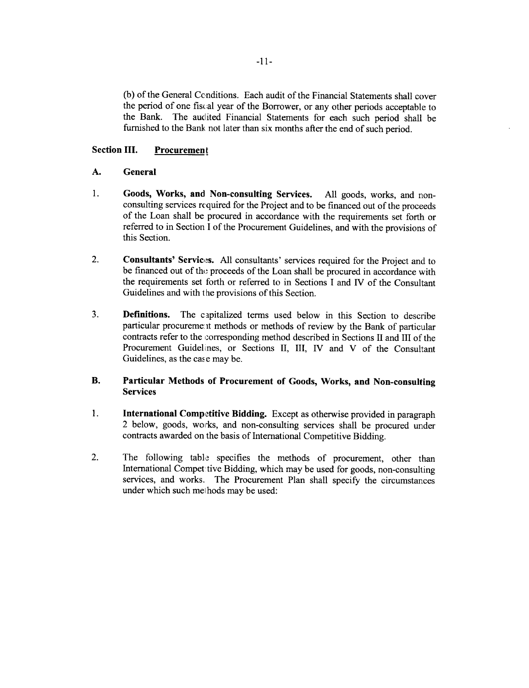**(b)** of the General Conditions. Each audit of the Financial Statements shall cover the period of one *fiscal* year of the Borrower, or any other periods acceptable to the Bank. The audited Financial Statements for each such period shall be furnished to the Bank not later than six months after the end of such period.

# **Section III.** Procurement

# **A. General**

- **1. Goods, Works, and Non-consulting Services. All** goods, **works, and** nonconsulting services required for the Project **and to** be financed out **of the proceeds** of the **Loan** shall be procured in accordance with the requirements set forth or referred to in Section **I** of the Procurement Guidelines, and with the provisions of this Section.
- 2. **Consultants' Services.** All consultants' services required for the Project and to be financed out of the proceeds of the Loan shall be procured in accordance with the requirements set forth or referred to in Sections **I** and IV of the Consultant Guidelines and with the provisions of this Section.
- **3. Definitions. The** capitalized terms used below in this Section to describe particular procureme it methods or methods of review **by** the Bank of particular contracts refer to the iorresponding method described in Sections II and **III** of the Procurement Guidelines, or Sections **II,** III, IV and V of the Consultant Guidelines, as the case may be.

# B. **Particular Methods of Procurement of Goods, Works, and Non-consulting Services**

- **1. International Competitive Bidding.** Except as otherwise provided in paragraph 2 below, goods, works, and non-consulting services shall be procured under contracts awarded on the basis of International Competitive Bidding.
- 2. The following table specifies the methods of procurement, other than International Compet tive Bidding, which may be used for goods, non-consulting services, and works. The Procurement Plan shall specify the circumstances under which such methods may be used: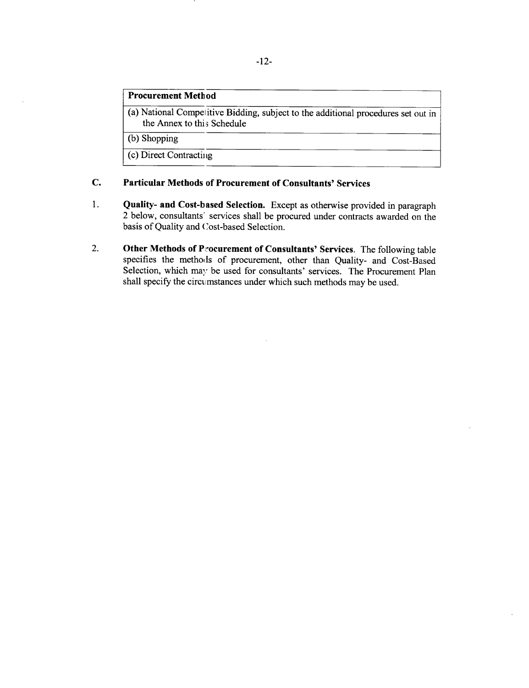# **Procurement Metb od**

(a) National Compel itive Bidding, subject to the additional procedures set out in the Annex to this Schedule

**(b)** Shopping

(c) Direct Contracting

# **C. Particular Methods of Procurement of Consultants' Services**

- **1. Quality- and Cost-based Selection.** Except as otherwise provided in paragraph 2 below, consultants' services shall be procured under contracts awarded on the basis of Quality and Cost-based Selection.
- 2. **Other Methods of Procurement of Consultants'** Services. The following table specifies the methods of procurement, other than Quality- and Cost-Based Selection, which may be used for consultants' services. The Procurement Plan shall specify the circimstances under which such methods may be used.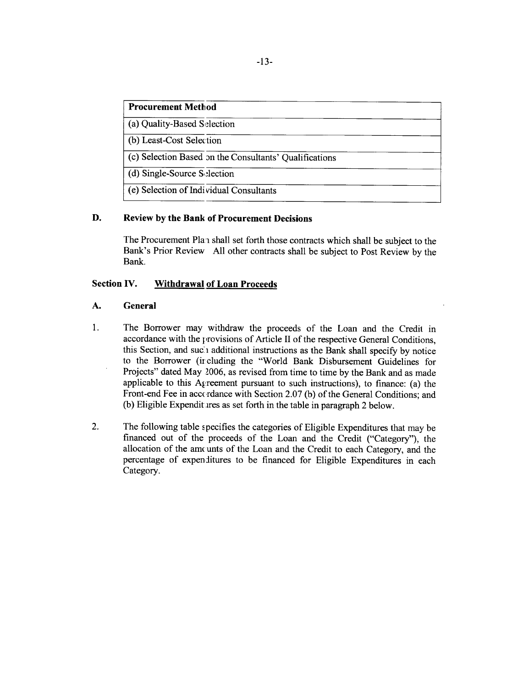| <b>Procurement Method</b>                              |  |
|--------------------------------------------------------|--|
| (a) Quality-Based Selection                            |  |
| (b) Least-Cost Selection                               |  |
| (c) Selection Based on the Consultants' Qualifications |  |
| (d) Single-Source Selection                            |  |
| (e) Selection of Individual Consultants                |  |

# **D. Review by the Bank of Procurement Decisions**

The Procurement Plan shall set forth those contracts which shall be subject to the Bank's Prior Review **All** other contracts shall be subject to Post Review **by** the Bank.

# **Section IV. Withdrawal of Loan Proceeds**

# **A. General**

- 1. **The** Borrower may withdraw the proceeds of the Loan and the Credit in accordance with the provisions of Article II of the respective General Conditions, this Section, and suci additional instructions as the Bank shall specify **by** notice to the Borrower (ir cluding the "World Bank Disbursement Guidelines for Projects" dated May **2006,** as revised from time to time **by** the Bank and as made applicable to this Agreement pursuant to such instructions), to finance: (a) the Front-end Fee in accordance with Section 2.07 (b) of the General Conditions; and (b) Eligible Expenditures as set forth in the table in paragraph 2 below.
- 2. The following table specifies the categories of Eligible Expenditures that may be financed out of the proceeds of the Loan and the Credit ("Category"), the allocation of the amcunts of the Loan and the Credit to each Category, and the percentage of expenditures to be financed for Eligible Expenditures in each Category.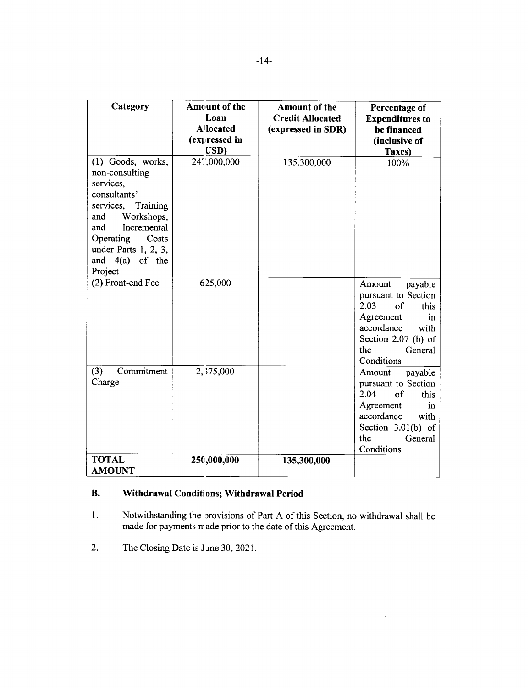| Category                                                                                                                                                                                                              | Amount of the    | <b>Amount of the</b>    | Percentage of                                                                                                                                                   |
|-----------------------------------------------------------------------------------------------------------------------------------------------------------------------------------------------------------------------|------------------|-------------------------|-----------------------------------------------------------------------------------------------------------------------------------------------------------------|
|                                                                                                                                                                                                                       | Loan             | <b>Credit Allocated</b> | <b>Expenditures to</b>                                                                                                                                          |
|                                                                                                                                                                                                                       | <b>Allocated</b> | (expressed in SDR)      | be financed                                                                                                                                                     |
|                                                                                                                                                                                                                       | (expressed in    |                         | (inclusive of                                                                                                                                                   |
|                                                                                                                                                                                                                       | USD)             |                         | Taxes)                                                                                                                                                          |
| (1) Goods, works,<br>non-consulting<br>services,<br>consultants'<br>services,<br>Training<br>Workshops,<br>and<br>Incremental<br>and<br>Operating<br>Costs<br>under Parts $1, 2, 3$ ,<br>and $4(a)$ of the<br>Project | 247,000,000      | 135,300,000             | 100%                                                                                                                                                            |
| (2) Front-end Fee                                                                                                                                                                                                     | 625,000          |                         | Amount<br>payable<br>pursuant to Section<br>2.03<br>of<br>this<br>Agreement<br>in<br>accordance<br>with<br>Section 2.07 (b) of<br>the<br>General<br>Conditions  |
| Commitment<br>(3)<br>Charge                                                                                                                                                                                           | 2,375,000        |                         | Amount<br>payable<br>pursuant to Section<br>2.04<br>of<br>this<br>Agreement<br>in<br>accordance<br>with<br>Section $3.01(b)$ of<br>the<br>General<br>Conditions |
| <b>TOTAL</b><br><b>AMOUNT</b>                                                                                                                                                                                         | 250,000,000      | 135,300,000             |                                                                                                                                                                 |

# **B. Withdrawal Conditions; Withdrawal Period**

**1.** Notwithstanding the provisions of Part A of this Section, no withdrawal shall be made for payments made prior to the date of this Agreement

 $\hat{\mathcal{L}}$ 

2. The Closing Date is Jane **30, 2021.**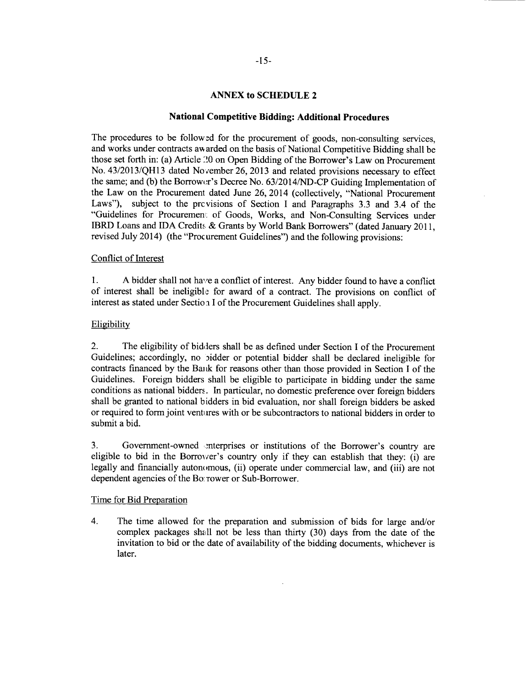# **ANNEX to SCHEDULE 2**

# **National Competitive Bidding: Additional Procedures**

The procedures to be followed for the procurement of goods, non-consulting services, and works under contracts awarded on the basis of National Competitive Bidding shall be those set forth in: (a) Article 20 on Open Bidding of the Borrower's Law on Procurement No. **43/2013/QH13** dated November **26, 2013** and related provisions necessary to effect the same; and **(b)** the Borrowcr's Decree No. **63/2014/ND-CP** Guiding Implementation of the Law on the Procurement dated June **26,** 2014 (collectively, "National Procurement Laws"), subject to the prc visions of Section **I** and Paragraphs **3.3** and 3.4 of the "Guidelines for Procuremeni. of Goods, Works, and Non-Consulting Services under IBRD Loans and **IDA** Credits **&** Grants **by** World Bank Borrowers" (dated January **2011,** revised July 2014) (the "Procurement Guidelines") and the following provisions:

#### Conflict of Interest

**1. A** bidder shall not have a conflict of interest. Any bidder found to have a conflict of interest shall be ineligible for award of a contract. The provisions on conflict of interest as stated under Section I of the Procurement Guidelines shall apply.

#### Eligibility

2. The eligibility of bidders shall be as defined under Section **I** of the Procurement Guidelines; accordingly, no bidder or potential bidder shall be declared ineligible for contracts financed **by** the Bank for reasons other than those provided in Section **I** of the Guidelines. Foreign bidders shall be eligible to participate in bidding under the same conditions as national bidders. In particular, no domestic preference over foreign bidders shall be granted to national bidders in **bid** evaluation, nor shall foreign bidders be asked or required to form joint ventures with or be subcontractors to national bidders in order to submit a bid.

**3.** Government-owned mterprises or institutions of the Borrower's country are eligible to bid in the Borrower's country only if they can establish that they: (i) are legally and financially autonomous, (ii) operate under commercial law, and (iii) are not dependent agencies of the Bo: Tower or Sub-Borrower.

# Time for Bid Preparation

4. The time allowed for the preparation and submission of bids for large and/or complex packages shaill not be less than thirty **(30)** days from the date of the invitation to bid or the date of availability of the bidding documents, whichever is later.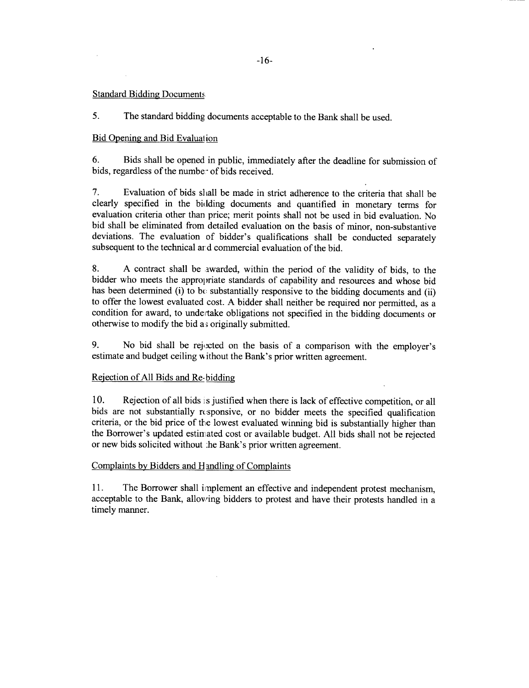# Standard Bidding Documents

**5.** The standard bidding documents acceptable to the Bank shall be used.

# Bid Opening and Bid Evalual ion

**6.** Bids shall be opened in public, immediately after the deadline for submission of bids, regardless of the number of bids received.

7. Evaluation of bids shall be made in strict adherence to the criteria that shall be clearly specified in the bidding documents and quantified in monetary terms for evaluation criteria other than price; merit points shall not be used in **bid** evaluation. No bid shall be eliminated from detailed evaluation on the basis of minor, non-substantive deviations. The evaluation of bidder's qualifications shall be conducted separately subsequent to the technical ar d commercial evaluation of the bid.

**8. A** contract shall be awarded, within the period of the validity of bids, to the bidder who meets the appropriate standards of capability and resources and whose bid has been determined (i) to  $b\epsilon$  substantially responsive to the bidding documents and (ii) to offer the lowest evaluated cost. **A** bidder shall neither be required nor permitted, as a condition for award, to undertake obligations not specified in the bidding documents or otherwise to modify the bid a; originally submitted.

**9.** No bid shall be rejocted on the basis of a comparison with the employer's estimate and budget ceiling without the Bank's prior written agreement.

# Rejection of **All** Bids and Re- biddin

**10.** Rejection of all bids is justified when there is lack of effective competition, or all bids are not substantially rcsponsive, or no bidder meets the specified qualification criteria, or the bid price of the lowest evaluated winning bid is substantially higher than the Borrower's updated estimated cost or available budget. **All** bids shall not be rejected or new bids solicited without :he Bank's prior written agreement.

# Complaints **by** Bidders and Handling of Complaints

**11.** The Borrower shall implement an effective and independent protest mechanism, acceptable to the Bank, allowing bidders to protest and have their protests handled in a timely manner.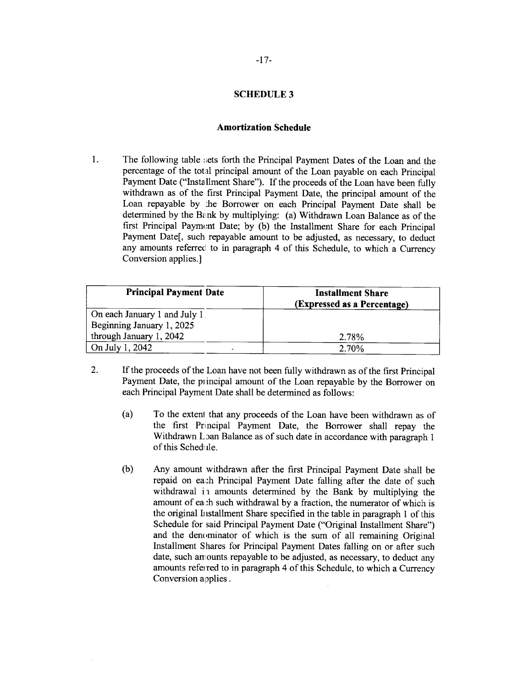# **SCHEDULE 3**

#### **Amortization Schedule**

1. The following table sets forth the Principal Payment Dates of the Loan and the percentage of the total principal amount of the Loan payable on each Principal Payment Date ("Installment Share"). **If** the proceeds of the Loan have been fully withdrawn as of the first Principal Payment Date, the principal amount of the Loan repayable **by** :he Borrower on each Principal Payment Date shall be determined **by** the Bink **by** multiplying: (a) Withdrawn Loan Balance as of the first Principal Paymont Date; **by (b)** the Installment Share for each Principal Payment Date[, such repayable amount to be adjusted, as necessary, to deduct any amounts referred to in paragraph 4 of this Schedule, to which a Currency Conversion applies.]

| <b>Principal Payment Date</b> | <b>Installment Share</b><br>(Expressed as a Percentage) |
|-------------------------------|---------------------------------------------------------|
| On each January 1 and July 1. |                                                         |
| Beginning January 1, 2025     |                                                         |
| through January 1, 2042       | 2.78%                                                   |
| On July 1, 2042               | 2.70%                                                   |

- 2. **If** the proceeds of the Loan have not been fully withdrawn as of the first Principal Payment Date, the principal amount of the Loan repayable **by** the Borrower on each Principal Payment Date shall be determined as follows:
	- (a) To the extent that any proceeds of the Loan have been withdrawn as of the first Principal Payment Date, the Borrower shall repay the Withdrawn Loan Balance as of such date in accordance with paragraph 1 of this Schediile.
	- **(b)** Any amount withdrawn after the first Principal Payment Date shall be repaid on each Principal Payment Date falling after the date of such withdrawal in amounts determined by the Bank by multiplying the amount of ea<sub>sh</sub> such withdrawal by a fraction, the numerator of which is the original Installment Share specified in the table in paragraph 1 of this Schedule for said Principal Payment Date ("Original Installment Share") and the denominator of which is the sum of all remaining Original Installment Shares for Principal Payment Dates falling on or after such date, such amounts repayable to be adjusted, as necessary, to deduct any amounts refei red to in paragraph 4 of this Schedule, to which a Currency Conversion applies.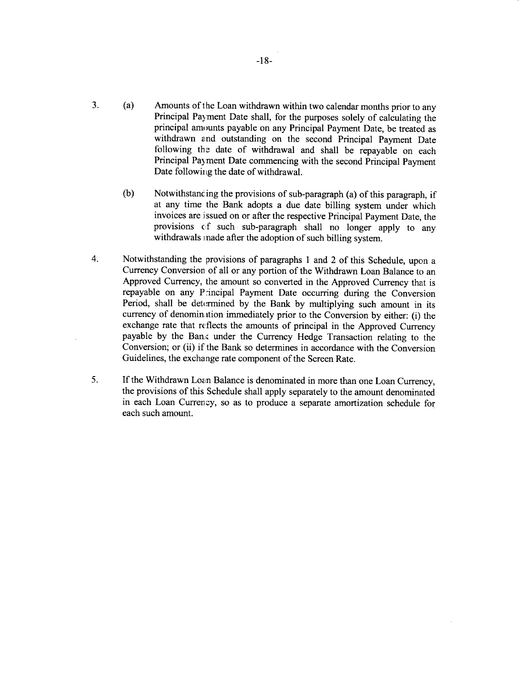- 3. **(a)** Amounts of the Loan withdrawn within two calendar months prior to any Principal Payment Date shall, for the purposes solely of calculating the principal amounts payable on any Principal Payment Date, be treated as withdrawn and outstanding on the second Principal Payment Date following the date of withdrawal and shall be repayable on each Principal Payment Date commencing with the second Principal Payment Date following the date of withdrawal.
	- **(b)** Notwithstanc ing the provisions of sub-paragraph (a) of this paragraph, if at any time the Bank adopts a due date billing system under which invoices are issued on or after the respective Principal Payment Date, the provisions of such sub-paragraph shall no longer apply to any withdrawals made after the adoption of such billing system.
- 4. Notwithstanding the provisions of paragraphs 1 and 2 of this Schedule, upon a Currency Conversion of all or any portion of the Withdrawn Loan Balance to an Approved Currency, the amount so converted in the Approved Currency that is repayable on any P incipal Payment Date occurring during the Conversion Period, shall be determined by the Bank by multiplying such amount in its currency of denomintion immediately prior to the Conversion **by** either: (i) the exchange rate that reflects the amounts of principal in the Approved Currency payable by the Ban<sub>i</sub> under the Currency Hedge Transaction relating to the Conversion; or (ii) if the Bank so determines in accordance with the Conversion Guidelines, the exchange rate component of the Screen Rate.
- **5. If** the Withdrawn Loan Balance is denominated in more than one Loan Currency, the provisions of this Schedule shall apply separately to the amount denominated in each Loan Currency, so as to produce a separate amortization schedule for each such amount.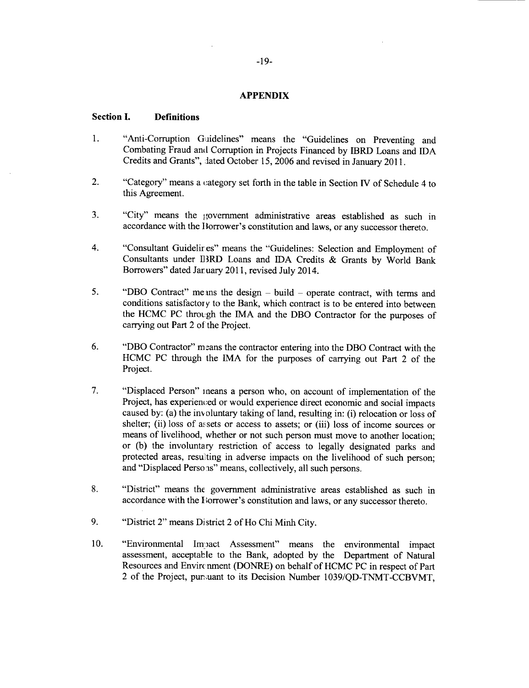#### **APPENDIX**

# **Section I. Definitions**

- 1. "Anti-Corruption Guidelines" means the "Guidelines on Preventing and Combating Fraud and Corruption in Projects Financed **by** IBRD Loans and IDA Credits and Grants", lated October **15, 2006** and revised in January **2011.**
- 2. "Category" means a category set forth in the table in Section **IV** of Schedule 4 to this Agreement.
- **3.** "City" means the government administrative areas established as such in accordance with the **I** lorrower's constitution and laws, or any successor thereto.
- 4. "Consultant Guidelir es" means the "Guidelines: Selection and Employment of Consultants under B 3RD Loans and **IDA** Credits **&** Grants **by** World Bank Borrowers" dated Jar uary **2011,** revised July 2014.
- **5.** "DBO Contract" mens the design **-** build **-** operate contract, with terms and conditions satisfactory to the Bank, which contract is to be entered into between the **HCMC PC** through the **IMA** and the DBO Contractor for the purposes of carrying out Part 2 of the Project.
- **6. "DBO Contractor"** means the contractor entering into the DBO Contract with the **HCMC PC** through the IMA for the purposes of carrying out Part 2 of the Project.
- 7. "Displaced Person" means a person who, on account of implementation of the Project, has experienced or would experience direct economic and social impacts caused **by:** (a) the inv oluntary taking of land, resulting in: (i) relocation or loss of shelter; (ii) loss of assets or access to assets; or (iii) loss of income sources or means of livelihood, whether or not such person must move to another location; or **(b)** the involuntary restriction of access to legally designated parks and protected areas, resulting in adverse impacts on the livelihood of such person; and "Displaced Perso is" means, collectively, all such persons.
- **8.** "District" means the government administrative areas established as such in accordance with the Horrower's constitution and laws, or any successor thereto.
- **9.** "District 2" means District 2 of Ho Chi Minh City.
- 10. **"Environmental Impact Assessment" means the environmental impact** assessment, acceptable to the Bank, adopted **by** the Department of Natural Resources and Envircnment (DONRE) on behalf of HCMC PC in respect of Part 2 of the Project, pur.uant to its Decision Number **1039/QD-TNMT-CCBVMT,**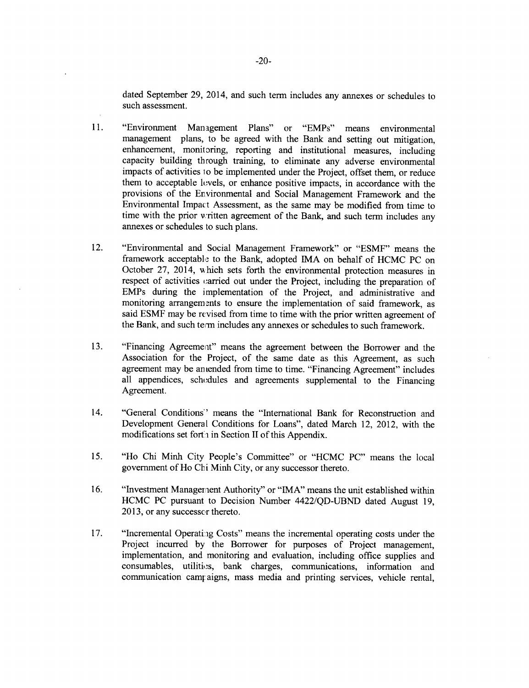dated September **29,** 2014, and such term includes any annexes or schedules to such assessment.

- **11.** "Environment Management Plans" or "EMPs" means environmental enhancement, monitoring, reporting and institutional measures, including capacity building through training, to eliminate any adverse environmental impacts of activities 1o be implemented under the Project, offset them, or reduce them to acceptable lovels, or enhance positive impacts, in accordance with the provisions of the Environmental and Social Management Framework and the Environmental Impac:t Assessment, as the same may be modified from time to time with the prior written agreement of the Bank, and such term includes any annexes or schedules to such plans.
- 12. "Environmental and Social Management Framework" or **"ESMF"** means the framework acceptable to the Bank, adopted IMA on behalf of **HCMC PC** on October **27,** 2014, which sets forth the environmental protection measures in respect of activities carried out under the Project, including the preparation of EMPs during the implementation of the Project, and administrative and monitoring arrangements to ensure the implementation of said framework, as said **ESMF** may be revised from time to time with the prior written agreement of the Bank, and such term includes any annexes or schedules to such framework.
- **13.** "Financing Agreemeat" means the agreement between the Borrower and the Association for the Project, of the same date as this Agreement, as such agreement may be an ended from time to time. "Financing Agreement" includes all appendices, schedules and agreements supplemental to the Financing Agreement.
- 14. "General Conditions" means the "International Bank for Reconstruction and Development General Conditions for Loans", dated March 12, 2012, with the modifications set forth in Section II of this Appendix.
- *15.* "Ho Chi Minh City People's Committee" or **"HCMC PC"** means the local government of Ho **Cli** Minh City, or any successor thereto.
- **16.** "Investment Managerient Authority" or **"IMA"** means the unit established within **HCMC PC** pursuant to Decision Number **4422/QD-UBND** dated August **19, 2013,** or any successor thereto.
- 17. **"Incremental Operating Costs" means the incremental operating costs under the** Project incurred **by** the Borrower for purposes of Project management, implementation, and monitoring and evaluation, including office supplies and consumables, utilitios, bank charges, communications, information and communication campaigns, mass media and printing services, vehicle rental,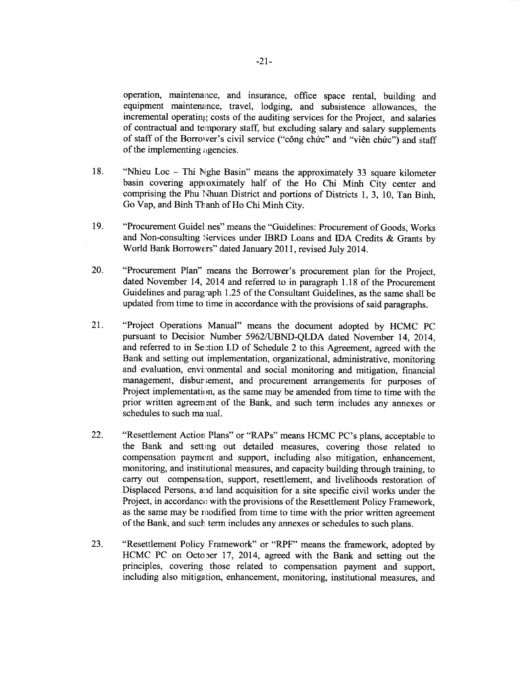operation, maintenaace, and insurance, office space rental, building and equipment maintenance, travel, lodging, and subsistence allowances, the incremental operating costs of the auditing services for the Project, and salaries of contractual and temporary staff, but excluding salary and salary supplements of staff of the Borrower's civil service ("công chức" and "viên chức") and staff of the implementing igencies.

- **18.** "Nhieu Loc **-** Thi Nghe Basin" means the approximately **33** square kilometer basin covering appioximately half of the Ho Chi Minh City center and comprising the Phu Nhuan District and portions of Districts **1, 3, 10,** Tan Binh, Go Vap, and Binh Th anh of Ho Chi Minh City.
- **19.** "Procurement Guidel nes" means the "Guidelines: Procurement of Goods, Works and Non-consulting Services under **IBRD** Loans and **IDA** Credits **&** Grants **by** World Bank Borrowers" dated January **2011,** revised July 2014.
- 20. "Procurement Plan" means the Borrower's procurement plan for the Project, dated November 14, 2014 and referred to in paragraph **1.18** of the Procurement Guidelines and parag-aph **1.25** of the Consultant Guidelines, as the same shall be updated from time to time in accordance with the provisions of said paragraphs.
- 21. "Project Operations Manual" means the document adopted **by HCMC PC** and referred to in Section I.D of Schedule 2 to this Agreement, agreed with the Bank and setting out implementation, organizational, administrative, monitoring and evaluation, environmental and social monitoring and mitigation, financial management, disburiement, and procurement arrangements for purposes of Project implementation, as the same may be amended from time to time with the prior written agreement of the Bank, and such term includes any annexes or schedules to such ma: lual.
- 22. "Resettlement Action Plans" or "RAPs" means **HCMC** PC's plans, acceptable to the Bank and setting out detailed measures, covering those related to compensation payment and support, including also mitigation, enhancement, monitoring, and instil utional measures, and capacity building through training, to carry out compensation, support, resettlement, and livelihoods restoration of Displaced Persons, and land acquisition for a site specific civil works under the Project, in accordance with the provisions of the Resettlement Policy Framework, as the same may be modified from time to time with the prior written agreement of the Bank, and such term includes any annexes or schedules to such plans.
- **23.** "Resettlement Policy Framework" or "RPF" means the framework, adopted **by** HCMC PC on October 17, 2014, agreed with the Bank and setting out the principles, covering those related to compensation payment and support, including also mitigation, enhancement, monitoring, institutional measures, and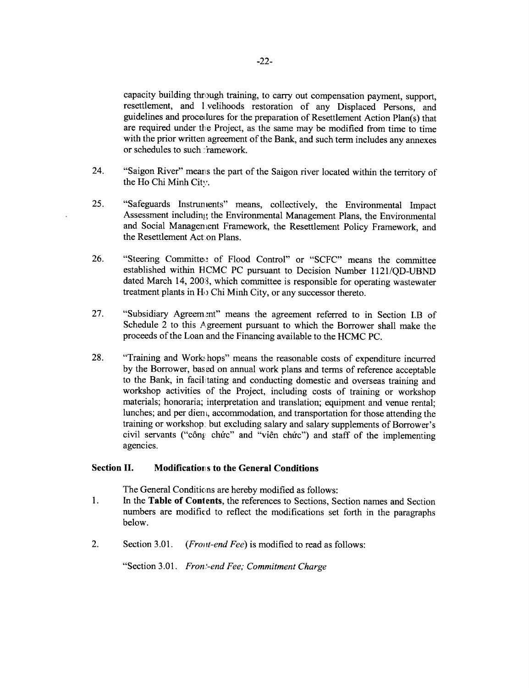capacity building through training, to carry out compensation payment, support, resettlement, and 1 velihoods restoration of any Displaced Persons, and guidelines and procedures for the preparation of Resettlement Action Plan(s) that are required under the Project, as the same may be modified from time to time with the prior written agreement of the Bank, and such term includes any annexes or schedules to such : ramework.

- 24. "Saigon River" means the part of the Saigon river located within the territory of the Ho **Chi** Minh City.
- *25.* "Safeguards Instruments" means, collectively, the Environmental Impact Assessment including the Environmental Management Plans, the Environmental and Social Management Framework, the Resettlement Policy Framework, and the Resettlement Act.on Plans.
- **26.** "Steering Committe. of Flood Control" or **"SCFC"** means the committee established within **HCMC PC** pursuant to Decision Number **1121/QD-UBND** dated March 14, **2003,** which committee is responsible for operating wastewater treatment plants in Ho Chi Minh City, or any successor thereto.
- **27.** "Subsidiary Agreem.nt" means the agreement referred to in Section I.B of Schedule 2 to this Agreement pursuant to which the Borrower shall make the proceeds of the Loan and the Financing available to the **HCMC PC.**
- **28.** "Training and Work! hops" means the reasonable costs of expenditure incurred **by** the Borrower, based on annual work plans and terms of reference acceptable to the Bank, in facilitating and conducting domestic and overseas training and workshop activities of the Project, including costs of training or workshop materials; honoraria; interpretation and translation; equipment and venue rental; lunches; and per dien, accommodation, and transportation for those attending the training or workshop, but excluding salary and salary supplements of Borrower's civil servants ("công chức" and "viên chức") and staff of the implementing agencies.

# **Section H. Modification s to the General Conditions**

The General Conditions are hereby modified as follows:

- 1 **.** In the **Table of Contents,** the references to Sections, Section names and Section numbers are modified to reflect the modifications set forth in the paragraphs below.
- 2. Section **3.01.** *(Froint-end Fee)* is modified to read as follows:

"Section 3.01. *Fron-end Fee; Commitment Charge*